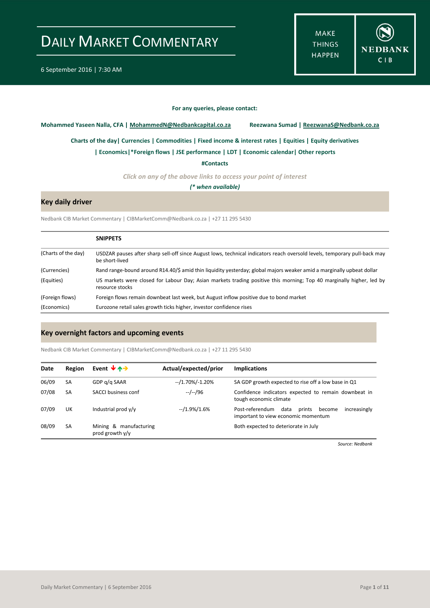**MAKE THINGS HAPPEN** 



#### **For any queries, please contact:**

<span id="page-0-0"></span>**Mohammed Yaseen Nalla, CFA | MohammedN@Nedbankcapital.co.za Reezwana Sumad | ReezwanaS@Nedbank.co.za**

**[Charts of the day|](#page-1-0) [Currencies](#page-2-0) [| Commodities](#page-3-0) | [Fixed income & interest rates](#page-4-0) [| Equities](#page-5-0) | Equity derivatives**

**[| Economics|](#page-6-0)[\\*Foreign flows](#page-6-1) | [JSE performance](#page-7-0) [| LDT](#page-8-0) [| Economic calendar|](#page-8-1) Other reports** 

**[#Contacts](#page-9-0)**

*Click on any of the above links to access your point of interest*

*(\* when available)*

#### **Key daily driver**

Nedbank CIB Market Commentary | CIBMarketComm@Nedbank.co.za | +27 11 295 5430

|                     | <b>SNIPPETS</b>                                                                                                                             |
|---------------------|---------------------------------------------------------------------------------------------------------------------------------------------|
| (Charts of the day) | USDZAR pauses after sharp sell-off since August lows, technical indicators reach oversold levels, temporary pull-back may<br>be short-lived |
| (Currencies)        | Rand range-bound around R14.40/\$ amid thin liquidity yesterday; global majors weaker amid a marginally upbeat dollar                       |
| (Equities)          | US markets were closed for Labour Day; Asian markets trading positive this morning; Top 40 marginally higher, led by<br>resource stocks     |
| (Foreign flows)     | Foreign flows remain downbeat last week, but August inflow positive due to bond market                                                      |
| (Economics)         | Eurozone retail sales growth ticks higher, investor confidence rises                                                                        |

#### **Key overnight factors and upcoming events**

Nedbank CIB Market Commentary | CIBMarketComm@Nedbank.co.za | +27 11 295 5430

| Date  | Region    | Event $\forall$ $\land \rightarrow$       | Actual/expected/prior | <b>Implications</b>                                                                                |
|-------|-----------|-------------------------------------------|-----------------------|----------------------------------------------------------------------------------------------------|
| 06/09 | SA        | GDP g/g SAAR                              | $-1.70\%/1.20\%$      | SA GDP growth expected to rise off a low base in Q1                                                |
| 07/08 | <b>SA</b> | SACCI business conf                       | --/--/96              | Confidence indicators expected to remain downbeat in<br>tough economic climate                     |
| 07/09 | UK        | Industrial prod y/y                       | $-1.9\%/1.6\%$        | Post-referendum<br>data<br>increasingly<br>prints<br>become<br>important to view economic momentum |
| 08/09 | <b>SA</b> | Mining & manufacturing<br>prod growth y/y |                       | Both expected to deteriorate in July                                                               |

*Source: Nedbank*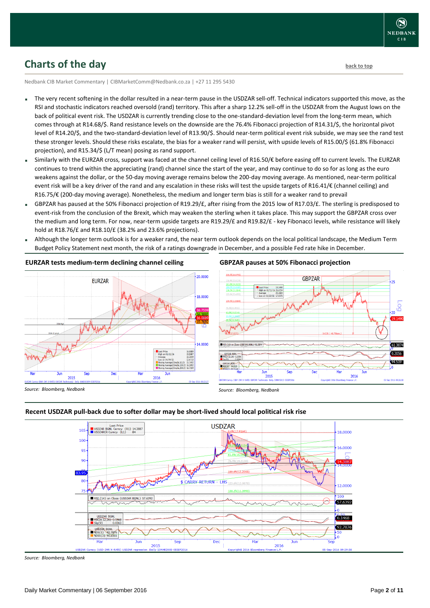## <span id="page-1-0"></span>**Charts of the day** [back to top](#page-0-0) **back to top**

Nedbank CIB Market Commentary | CIBMarketComm@Nedbank.co.za | +27 11 295 5430

- The very recent softening in the dollar resulted in a near-term pause in the USDZAR sell-off. Technical indicators supported this move, as the RSI and stochastic indicators reached oversold (rand) territory. This after a sharp 12.2% sell-off in the USDZAR from the August lows on the back of political event risk. The USDZAR is currently trending close to the one-standard-deviation level from the long-term mean, which comes through at R14.68/\$. Rand resistance levels on the downside are the 76.4% Fibonacci projection of R14.31/\$, the horizontal pivot level of R14.20/\$, and the two-standard-deviation level of R13.90/\$. Should near-term political event risk subside, we may see the rand test these stronger levels. Should these risks escalate, the bias for a weaker rand will persist, with upside levels of R15.00/\$ (61.8% Fibonacci projection), and R15.34/\$ (L/T mean) posing as rand support.
- Similarly with the EURZAR cross, support was faced at the channel ceiling level of R16.50/€ before easing off to current levels. The EURZAR continues to trend within the appreciating (rand) channel since the start of the year, and may continue to do so for as long as the euro weakens against the dollar, or the 50-day moving average remains below the 200-day moving average. As mentioned, near-term political event risk will be a key driver of the rand and any escalation in these risks will test the upside targets of R16.41/€ (channel ceiling) and R16.75/€ (200-day moving average). Nonetheless, the medium and longer term bias is still for a weaker rand to prevail
- GBPZAR has paused at the 50% Fibonacci projection of R19.29/£, after rising from the 2015 low of R17.03/£. The sterling is predisposed to event-risk from the conclusion of the Brexit, which may weaken the sterling when it takes place. This may support the GBPZAR cross over the medium and long term. For now, near-term upside targets are R19.29/£ and R19.82/£ - key Fibonacci levels, while resistance will likely hold at R18.76/£ and R18.10/£ (38.2% and 23.6% projections).
- Although the longer term outlook is for a weaker rand, the near term outlook depends on the local political landscape, the Medium Term Budget Policy Statement next month, the risk of a ratings downgrade in December, and a possible Fed rate hike in December.



#### **EURZAR tests medium-term declining channel ceiling**

#### **GBPZAR pauses at 50% Fibonacci projection**



*Source: Bloomberg, Nedbank*

#### **Recent USDZAR pull-back due to softer dollar may be short-lived should local political risk rise**



*Source: Bloomberg, Nedbank*

*Source: Bloomberg, Nedbank*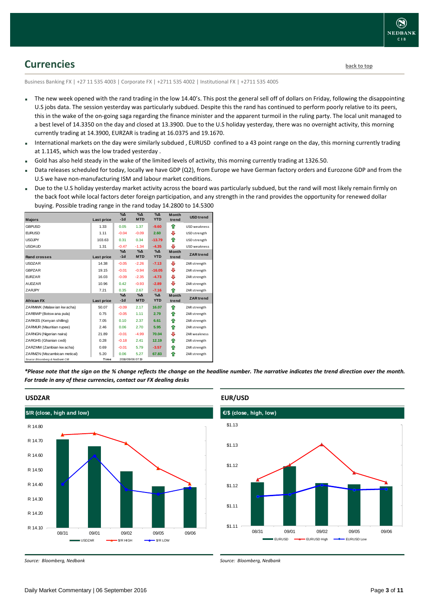

### <span id="page-2-0"></span>**Currencies [back to top](#page-0-0)**

Business Banking FX | +27 11 535 4003 | Corporate FX | +2711 535 4002 | Institutional FX | +2711 535 4005

- The new week opened with the rand trading in the low 14.40's. This post the general sell off of dollars on Friday, following the disappointing U.S jobs data. The session yesterday was particularly subdued. Despite this the rand has continued to perform poorly relative to its peers, this in the wake of the on-going saga regarding the finance minister and the apparent turmoil in the ruling party. The local unit managed to a best level of 14.3350 on the day and closed at 13.3900. Due to the U.S holiday yesterday, there was no overnight activity, this morning currently trading at 14.3900, EURZAR is trading at 16.0375 and 19.1670.
- International markets on the day were similarly subdued , EURUSD confined to a 43 point range on the day, this morning currently trading at 1.1145, which was the low traded yesterday .
- Gold has also held steady in the wake of the limited levels of activity, this morning currently trading at 1326.50.
- Data releases scheduled for today, locally we have GDP (Q2), from Europe we have German factory orders and Eurozone GDP and from the U.S we have non-manufacturing ISM and labour market conditions.
- Due to the U.S holiday yesterday market activity across the board was particularly subdued, but the rand will most likely remain firmly on the back foot while local factors deter foreign participation, and any strength in the rand provides the opportunity for renewed dollar buying. Possible trading range in the rand today 14.2800 to 14.5300

|                                 |            | $\%$ $\Delta$ | $\Delta_0$       | $\Delta_0$ |                       |                     |
|---------------------------------|------------|---------------|------------------|------------|-----------------------|---------------------|
| <b>Majors</b>                   | Last price | $-1d$         | <b>MTD</b>       | <b>YTD</b> | <b>Month</b><br>trend | <b>USD</b> trend    |
|                                 |            |               |                  |            |                       |                     |
| <b>GBPUSD</b>                   | 1.33       | 0.05          | 1.37             | $-9.60$    | ♠                     | <b>USD</b> weakness |
| <b>EURUSD</b>                   | 1.11       | $-0.04$       | $-0.09$          | 2.60       | ⊕                     | USD strength        |
| <b>USDJPY</b>                   | 103.63     | 0.31          | 0.34             | $-13.79$   | ⇑                     | USD strength        |
| <b>USDAUD</b>                   | 1.31       | $-0.47$       | $-1.34$          | $-4.35$    | ⊕                     | <b>USD</b> weakness |
|                                 |            | $\%$ $\Delta$ | $\Delta_0$       | $\Delta$   | <b>Month</b>          | <b>ZAR</b> trend    |
| <b>Rand crosses</b>             | Last price | $-1d$         | <b>MTD</b>       | <b>YTD</b> | trend                 |                     |
| <b>USDZAR</b>                   | 14.38      | $-0.05$       | $-2.26$          | $-7.13$    | ⊕                     | ZAR strength        |
| <b>GBPZAR</b>                   | 19.15      | $-0.01$       | $-0.94$          | $-16.05$   | ⊕                     | ZAR strength        |
| <b>EURZAR</b>                   | 16.03      | $-0.09$       | $-2.35$          | $-4.73$    | ⊕                     | ZAR strength        |
| <b>AUDZAR</b>                   | 10.96      | 0.42          | $-0.93$          | $-2.89$    | ⊕                     | ZAR strength        |
| ZARJPY                          | 7.21       | 0.35          | 2.67             | $-7.16$    | ♠                     | ZAR strength        |
|                                 |            | $\%$ $\Delta$ | $\% \Delta$      | $\Delta$   | <b>Month</b>          | <b>ZAR</b> trend    |
| <b>African FX</b>               | Last price | $-1d$         | <b>MTD</b>       | <b>YTD</b> | trend                 |                     |
| ZARMWK (Malaw ian kw acha)      | 50.07      | $-0.09$       | 2.17             | 16.07      | ⇑                     | ZAR strength        |
| ZARBWP (Botsw ana pula)         | 0.75       | $-0.05$       | 1.11             | 2.79       | ⇑                     | ZAR strength        |
| ZARKES (Kenyan shilling)        | 7.05       | 0.10          | 2.37             | 6.61       | ⇑                     | ZAR strength        |
| ZARMUR (Mauritian rupee)        | 2.46       | 0.06          | 2.70             | 5.95       | ⇑                     | ZAR strength        |
| ZARNGN (Nigerian naira)         | 21.89      | $-0.01$       | $-4.99$          | 70.04      | ⊕                     | <b>ZAR</b> weakness |
| ZARGHS (Ghanian cedi)           | 0.28       | $-0.18$       | 2.41             | 12.19      | ⇑                     | ZAR strength        |
| ZARZMW (Zambian kw acha)        | 0.69       | $-0.01$       | 5.79             | $-3.57$    | ⇑                     | ZAR strength        |
| ZARMZN (Mozambican metical)     | 5.20       | 0.06          | 5.27             | 67.83      | ♠                     | ZAR strength        |
| Source: Bloomberg & Nedbank CIB | Time       |               | 2016/09/06 07:19 |            |                       |                     |

*\*Please note that the sign on the % change reflects the change on the headline number. The narrative indicates the trend direction over the month. For trade in any of these currencies, contact our FX dealing desks*



*Source: Bloomberg, Nedbank*

#### **EUR/USD**



*Source: Bloomberg, Nedbank*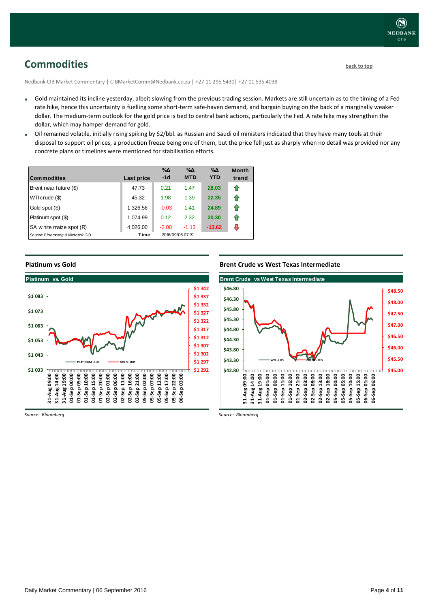### <span id="page-3-0"></span>**Commodities [back to top](#page-0-0)**

Nedbank CIB Market Commentary | CIBMarketComm@Nedbank.co.za | +27 11 295 5430| +27 11 535 4038

- Gold maintained its incline yesterday, albeit slowing from the previous trading session. Markets are still uncertain as to the timing of a Fed rate hike, hence this uncertainty is fuelling some short-term safe-haven demand, and bargain buying on the back of a marginally weaker dollar. The medium-term outlook for the gold price is tied to central bank actions, particularly the Fed. A rate hike may strengthen the dollar, which may hamper demand for gold.
- Oil remained volatile, initially rising spiking by \$2/bbl. as Russian and Saudi oil ministers indicated that they have many tools at their disposal to support oil prices, a production freeze being one of them, but the price fell just as sharply when no detail was provided nor any concrete plans or timelines were mentioned for stabilisation efforts.

| <b>Commodities</b>              | Last price | $\% \Delta$<br>$-1d$ | $\% \Delta$<br><b>MTD</b> | $\% \Delta$<br><b>YTD</b> | <b>Month</b><br>trend |
|---------------------------------|------------|----------------------|---------------------------|---------------------------|-----------------------|
| Brent near future (\$)          | 47.73      | 0.21                 | 1.47                      | 28.03                     | ⇑                     |
| WTI crude (\$)                  | 45.32      | 1.98                 | 1.39                      | 22.35                     | ⇑                     |
| Gold spot (\$)                  | 1 326.56   | $-0.03$              | 1.41                      | 24.89                     | ⇑                     |
| Platinum spot (\$)              | 1 074.99   | 0.12                 | 2.32                      | 20.30                     | ⇑                     |
| SA w hite maize spot (R)        | 4 0 26 00  | $-2.00$              | $-1.13$                   | $-13.62$                  | ⇩                     |
| Source: Bloomberg & Nedbank CIB | Time       |                      | 2016/09/06 07:19          |                           |                       |

#### **Platinum vs Gold**



*Source: Bloomberg*

**Brent Crude vs West Texas Intermediate**



*Source: Bloomberg*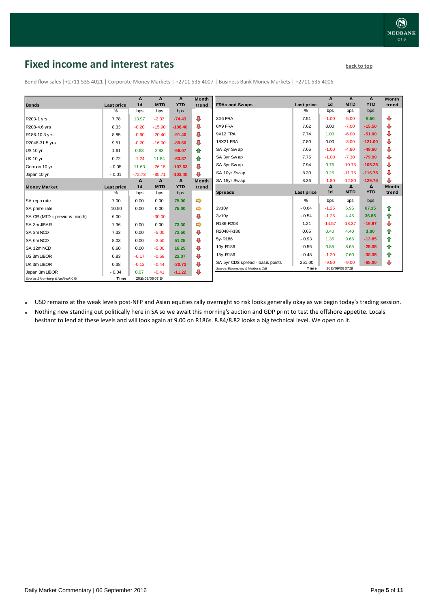## <span id="page-4-0"></span>**Fixed income and interest rates back to the line of the set of the set of the set of the set of the set of the set of the set of the set of the set of the set of the set of the set of the set of the set of the set of th**

 **Δ** 

**Month** 

 **Δ** 

 **Δ** 

|                                 |            | Δ              | Δ                | Δ          | <b>Month</b>  |                 |
|---------------------------------|------------|----------------|------------------|------------|---------------|-----------------|
| <b>Bonds</b>                    | Last price | 1 <sub>d</sub> | <b>MTD</b>       | <b>YTD</b> | trend         | <b>FRAs are</b> |
|                                 | %          | bps            | bps              | bps        |               |                 |
| R203-1 yrs                      | 7.78       | 13.97          | $-2.03$          | $-74.43$   | ⊕             | 3X6 FRA         |
| R208-4.6 yrs                    | 8.33       | $-0.20$        | $-15.90$         | $-108.40$  | ⊕             | 6X9 FRA         |
| R186-10.3 yrs                   | 8.85       | $-0.60$        | $-20.40$         | $-91.40$   | ⊕             | 9X12 FF         |
| R2048-31.5 yrs                  | 9.51       | $-0.20$        | $-16.00$         | $-89.60$   | ⊕             | 18X21 F         |
| <b>US 10 yr</b>                 | 1.61       | 0.63           | 2.83             | $-66.07$   | ✿             | SA 2yr \$       |
| <b>UK 10 yr</b>                 | 0.72       | $-1.24$        | 11.84            | $-63.37$   | ♠             | SA 3yr \$       |
| German 10 yr                    | $-0.05$    | 11.63          | $-26.15$         | $-107.63$  | ⊕             | SA 5yr \$       |
| Japan 10 yr                     | $-0.01$    | $-72.73$       | $-85.71$         | $-103.40$  | ⊕             | SA 10yr         |
|                                 |            | Δ              | Δ                | Δ          | <b>Month</b>  | SA 15yr         |
| <b>Money Market</b>             | Last price | 1 <sub>d</sub> | <b>MTD</b>       | <b>YTD</b> | trend         |                 |
|                                 | $\%$       | bps            | bps              | bps        |               | Spread          |
| SA repo rate                    | 7.00       | 0.00           | 0.00             | 75.00      | $\Rightarrow$ |                 |
| SA prime rate                   | 10.50      | 0.00           | 0.00             | 75.00      | ➾             | 2v10v           |
| SA CPI (MTD = previous month)   | 6.00       |                | $-30.00$         |            | ⊕             | 3v10v           |
| SA 3m JIBAR                     | 7.36       | 0.00           | 0.00             | 73.30      | ⇛             | R186-R2         |
| SA 3m NCD                       | 7.33       | 0.00           | $-5.00$          | 72.50      | ⊕             | R2048-F         |
| SA 6m NCD                       | 8.03       | 0.00           | $-2.50$          | 51.25      | ⊕             | 5y-R186         |
| SA 12m NCD                      | 8.60       | 0.00           | $-5.00$          | 16.25      | ⊕             | 10y-R18         |
| US 3m LIBOR                     | 0.83       | $-0.17$        | $-0.59$          | 22.07      | ⊕             | 15y-R18         |
| UK 3m LIBOR                     | 0.38       | $-0.12$        | $-0.44$          | $-20.73$   | ⊕             | SA 5yr          |
| Japan 3m LIBOR                  | $-0.04$    | 0.07           | $-0.41$          | $-11.22$   | ⊕             | Source: Blo     |
| Source: Bloomberg & Nedbank CIB | Time       |                | 2016/09/06 07:19 |            |               |                 |

Bond flow sales |+2711 535 4021 | Corporate Money Markets | +2711 535 4007 | Business Bank Money Markets | +2711 535 4006

| trend                | <b>FRAs and Swaps</b>            | Last price        | 1 <sub>d</sub> | <b>MTD</b> | <b>YTD</b> | trend        |
|----------------------|----------------------------------|-------------------|----------------|------------|------------|--------------|
|                      |                                  | $\%$              | bps            | bps        | bps        |              |
| ⊕                    | 3X6 FRA                          | 7.51              | $-1.00$        | $-5.00$    | 9.50       | ⊕            |
| ⊕                    | 6X9 FRA                          | 7.62              | 0.00           | $-7.00$    | $-15.50$   | ⊕            |
| ⊕                    | 9X12 FRA                         | 7.74              | 1.00           | $-6.00$    | $-51.00$   | ⊕            |
| ⊕                    | <b>18X21 FRA</b>                 | 7.80              | 0.00           | $-3.00$    | $-121.00$  | ⊕            |
| 合                    | SA 2yr Swap                      | 7.66              | $-1.00$        | $-4.80$    | $-49.60$   | ⊕            |
| ⇑                    | SA 3yr Sw ap                     | 7.75              | $-1.00$        | $-7.30$    | $-79.90$   | ⊕            |
| ⊕                    | SA 5yr Sw ap                     | 7.94              | 0.75           | $-10.75$   | $-105.25$  | ⊕            |
| ⊕                    | SA 10yr Swap                     | 8.30              | 0.25           | $-11.75$   | $-116.75$  | ⊕            |
| Month                | SA 15yr Swap                     | 8.36              | $-1.80$        | $-12.80$   | $-129.75$  | ⊕            |
| trend                |                                  |                   | Δ              | Δ          | Δ          | <b>Month</b> |
|                      |                                  |                   |                |            |            |              |
|                      | <b>Spreads</b>                   | <b>Last price</b> | 1 <sub>d</sub> | <b>MTD</b> | <b>YTD</b> | trend        |
|                      |                                  | $\frac{0}{0}$     | bps            | bps        | bps        |              |
|                      | 2v10v                            | $-0.64$           | $-1.25$        | 6.95       | 67.15      | ⇑            |
|                      | 3v10v                            | $-0.54$           | $-1.25$        | 4.45       | 36.85      | ✿            |
|                      | R186-R203                        | 1.21              | $-14.57$       | $-18.37$   | $-16.97$   | ⊕            |
|                      | R2048-R186                       | 0.65              | 0.40           | 4.40       | 1.80       | ✿            |
| ⇛<br><br>⊕<br>⇛<br>⊕ | 5y-R186                          | $-0.93$           | 1.35           | 9.65       | $-13.85$   | ✿            |
| ⊕                    | 10y-R186                         | $-0.56$           | 0.85           | 8.65       | $-25.35$   | ⇮            |
| ⊕                    | 15y-R186                         | $-0.48$           | $-1.20$        | 7.60       | $-38.35$   | ⇮            |
| ⊕<br>⊕               | SA 5yr CDS spread - basis points | 251.00            | $-9.50$        | $-9.00$    | $-85.00$   | ⊕            |

USD remains at the weak levels post-NFP and Asian equities rally overnight so risk looks generally okay as we begin today's trading session.

 Nothing new standing out politically here in SA so we await this morning's auction and GDP print to test the offshore appetite. Locals hesitant to lend at these levels and will look again at 9.00 on R186s. 8.84/8.82 looks a big technical level. We open on it.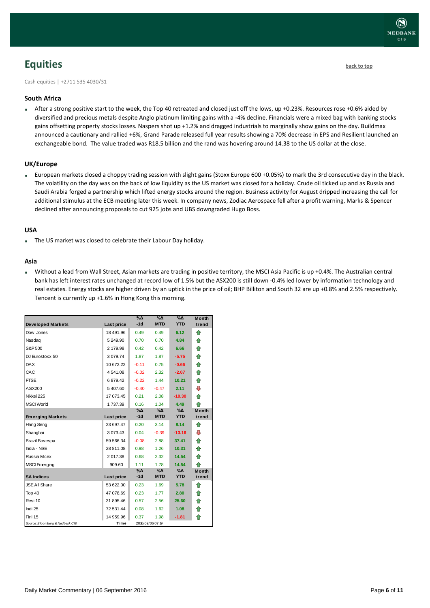

### <span id="page-5-0"></span>**Equities [back to top](#page-0-0)**

Cash equities | +2711 535 4030/31

#### **South Africa**

 After a strong positive start to the week, the Top 40 retreated and closed just off the lows, up +0.23%. Resources rose +0.6% aided by diversified and precious metals despite Anglo platinum limiting gains with a -4% decline. Financials were a mixed bag with banking stocks gains offsetting property stocks losses. Naspers shot up +1.2% and dragged industrials to marginally show gains on the day. Buildmax announced a cautionary and rallied +6%, Grand Parade released full year results showing a 70% decrease in EPS and Resilient launched an exchangeable bond. The value traded was R18.5 billion and the rand was hovering around 14.38 to the US dollar at the close.

#### **UK/Europe**

 European markets closed a choppy trading session with slight gains (Stoxx Europe 600 +0.05%) to mark the 3rd consecutive day in the black. The volatility on the day was on the back of low liquidity as the US market was closed for a holiday. Crude oil ticked up and as Russia and Saudi Arabia forged a partnership which lifted energy stocks around the region. Business activity for August dripped increasing the call for additional stimulus at the ECB meeting later this week. In company news, Zodiac Aerospace fell after a profit warning, Marks & Spencer declined after announcing proposals to cut 925 jobs and UBS downgraded Hugo Boss.

#### **USA**

The US market was closed to celebrate their Labour Day holiday.

#### **Asia**

 Without a lead from Wall Street, Asian markets are trading in positive territory, the MSCI Asia Pacific is up +0.4%. The Australian central bank has left interest rates unchanged at record low of 1.5% but the ASX200 is still down -0.4% led lower by information technology and real estates. Energy stocks are higher driven by an uptick in the price of oil; BHP Billiton and South 32 are up +0.8% and 2.5% respectively. Tencent is currently up +1.6% in Hong Kong this morning.

|                                 |               | $\% \Delta$ | %Δ               | $\Delta_0$ | <b>Month</b> |
|---------------------------------|---------------|-------------|------------------|------------|--------------|
| <b>Developed Markets</b>        | Last price    | $-1d$       | <b>MTD</b>       | <b>YTD</b> | trend        |
| Dow Jones                       | 18 491.96     | 0.49        | 0.49             | 6.12       | ⇑            |
| Nasdag                          | 5 249.90      | 0.70        | 0.70             | 4.84       | ⇑            |
| S&P 500                         | 2 179.98      | 0.42        | 0.42             | 6.66       | ⇑            |
| DJ Eurostoxx 50                 | 3 0 7 9 . 7 4 | 1.87        | 1.87             | $-5.75$    | ⇑            |
| <b>DAX</b>                      | 10 672.22     | $-0.11$     | 0.75             | $-0.66$    | 合            |
| CAC                             | 4 541 08      | $-0.02$     | 2.32             | $-2.07$    | 企            |
| <b>FTSE</b>                     | 6879.42       | $-0.22$     | 1.44             | 10.21      | ⇑            |
| ASX200                          | 5407.60       | $-0.40$     | $-0.47$          | 2.11       | ⊕            |
| Nikkei 225                      | 17 073.45     | 0.21        | 2.08             | $-10.30$   | ⇑            |
| <b>MSCI World</b>               | 1737.39       | 0.16        | 1.04             | 4.49       | ⇑            |
|                                 |               | %Δ          | %Δ               | %Δ         | <b>Month</b> |
| <b>Emerging Markets</b>         | Last price    | $-1d$       | <b>MTD</b>       | <b>YTD</b> | trend        |
| Hang Seng                       | 23 697.47     | 0.20        | 3.14             | 8.14       | ♠            |
| Shanghai                        | 3 0 7 3 4 3   | 0.04        | $-0.39$          | $-13.16$   | ⊕            |
| Brazil Bovespa                  | 59 566 34     | $-0.08$     | 2.88             | 37.41      | 合            |
| India - NSE                     | 28 811.08     | 0.98        | 1.26             | 10.31      | ⇑            |
| Russia Micex                    | 2 017.38      | 0.68        | 2.32             | 14.54      | ⇑            |
| <b>MSCI</b> Emerging            | 909.60        | 1.11        | 1.78             | 14.54      | ⇑            |
|                                 |               | $\% \Delta$ | %Δ               | %Δ         | <b>Month</b> |
| <b>SA Indices</b>               | Last price    | $-1d$       | <b>MTD</b>       | <b>YTD</b> | trend        |
| <b>JSE All Share</b>            | 53 622.00     | 0.23        | 1.69             | 5.78       | ⇑            |
| Top 40                          | 47 078.69     | 0.23        | 1.77             | 2.80       | ⇮            |
| Resi 10                         | 31 895.46     | 0.57        | 2.56             | 25.60      | ⇮            |
| Indi 25                         | 72 531.44     | 0.08        | 1.62             | 1.08       | 合            |
| Fini 15                         | 14 959.96     | 0.37        | 1.98             | $-1.81$    | ♠            |
| Source: Bloomberg & Nedbank CIB | Time          |             | 2016/09/06 07:19 |            |              |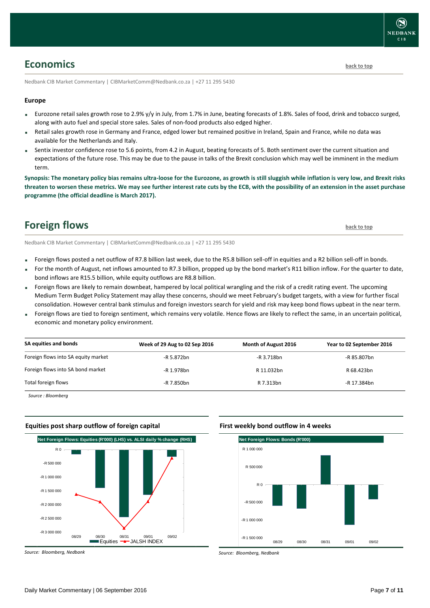### <span id="page-6-0"></span>**Economics [back to top](#page-0-0)**

Nedbank CIB Market Commentary | CIBMarketComm@Nedbank.co.za | +27 11 295 5430

#### **Europe**

- Eurozone retail sales growth rose to 2.9% y/y in July, from 1.7% in June, beating forecasts of 1.8%. Sales of food, drink and tobacco surged, along with auto fuel and special store sales. Sales of non-food products also edged higher.
- Retail sales growth rose in Germany and France, edged lower but remained positive in Ireland, Spain and France, while no data was available for the Netherlands and Italy.
- Sentix investor confidence rose to 5.6 points, from 4.2 in August, beating forecasts of 5. Both sentiment over the current situation and expectations of the future rose. This may be due to the pause in talks of the Brexit conclusion which may well be imminent in the medium term.

**Synopsis: The monetary policy bias remains ultra-loose for the Eurozone, as growth is still sluggish while inflation is very low, and Brexit risks threaten to worsen these metrics. We may see further interest rate cuts by the ECB, with the possibility of an extension in the asset purchase programme (the official deadline is March 2017).**

### <span id="page-6-1"></span>**Foreign flows back** [to top](#page-0-0) **back** to top

Nedbank CIB Market Commentary | CIBMarketComm@Nedbank.co.za | +27 11 295 5430

- Foreign flows posted a net outflow of R7.8 billion last week, due to the R5.8 billion sell-off in equities and a R2 billion sell-off in bonds.
- For the month of August, net inflows amounted to R7.3 billion, propped up by the bond market's R11 billion inflow. For the quarter to date, bond inflows are R15.5 billion, while equity outflows are R8.8 billion.
- Foreign flows are likely to remain downbeat, hampered by local political wrangling and the risk of a credit rating event. The upcoming Medium Term Budget Policy Statement may allay these concerns, should we meet February's budget targets, with a view for further fiscal consolidation. However central bank stimulus and foreign investors search for yield and risk may keep bond flows upbeat in the near term.
- Foreign flows are tied to foreign sentiment, which remains very volatile. Hence flows are likely to reflect the same, in an uncertain political, economic and monetary policy environment.

| SA equities and bonds               | Week of 29 Aug to 02 Sep 2016 | <b>Month of August 2016</b> | Year to 02 September 2016 |
|-------------------------------------|-------------------------------|-----------------------------|---------------------------|
| Foreign flows into SA equity market | -R 5.872bn                    | $-R$ 3.718bn                | -R 85.807bn               |
| Foreign flows into SA bond market   | -R 1.978bn                    | R 11.032bn                  | R 68.423bn                |
| Total foreign flows                 | -R 7.850bn                    | R 7.313bn                   | -R 17.384bn               |

*Source : Bloomberg*



*Source: Bloomberg, Nedbank*

#### **First weekly bond outflow in 4 weeks**



*Source: Bloomberg, Nedbank*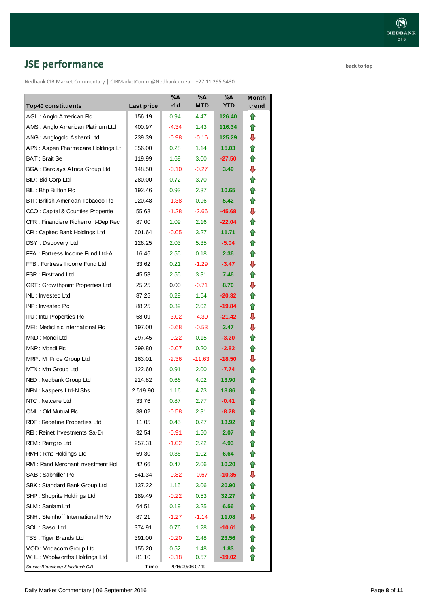# <span id="page-7-0"></span>**JSE performance [back to top](#page-0-0)**

Nedbank CIB Market Commentary | CIBMarketComm@Nedbank.co.za | +27 11 295 5430

| <b>Top40 constituents</b>             | <b>Last price</b> | %Δ<br>$-1d$ | %Δ<br><b>MTD</b> | %Δ<br><b>YTD</b> | Month<br>trend |
|---------------------------------------|-------------------|-------------|------------------|------------------|----------------|
| AGL: Anglo American Plc               | 156.19            | 0.94        | 4.47             | 126.40           | ⇑              |
| AMS: Anglo American Platinum Ltd      | 400.97            | $-4.34$     | 1.43             | 116.34           | ⇑              |
| ANG: Anglogold Ashanti Ltd            | 239.39            | $-0.98$     | $-0.16$          | 125.29           | ⊕              |
| APN: Aspen Pharmacare Holdings Lt     | 356.00            | 0.28        | 1.14             | 15.03            | ⇑              |
| BAT: Brait Se                         | 119.99            | 1.69        | 3.00             | $-27.50$         | ⇑              |
| <b>BGA: Barclays Africa Group Ltd</b> | 148.50            | $-0.10$     | $-0.27$          | 3.49             | ⇩              |
| <b>BID: Bid Corp Ltd</b>              | 280.00            | 0.72        | 3.70             |                  | 合              |
| BIL: Bhp Billiton Plc                 | 192.46            | 0.93        | 2.37             | 10.65            | ⇑              |
| BTI: British American Tobacco Plc     | 920.48            | $-1.38$     | 0.96             | 5.42             | ⇑              |
| CCO: Capital & Counties Propertie     | 55.68             | $-1.28$     | $-2.66$          | $-45.68$         | ⇩              |
| CFR : Financiere Richemont-Dep Rec    | 87.00             | 1.09        | 2.16             | $-22.04$         | ⇑              |
| CPI: Capitec Bank Holdings Ltd        | 601.64            | $-0.05$     | 3.27             | 11.71            | 合              |
| DSY: Discovery Ltd                    | 126.25            | 2.03        | 5.35             | $-5.04$          | ⇑              |
| FFA: Fortress Income Fund Ltd-A       | 16.46             | 2.55        | 0.18             | 2.36             | ✿              |
| FFB: Fortress Income Fund Ltd         | 33.62             | 0.21        | $-1.29$          | $-3.47$          | ⇩              |
| <b>FSR: Firstrand Ltd</b>             | 45.53             | 2.55        | 3.31             | 7.46             | ✿              |
| GRT : Grow thpoint Properties Ltd     | 25.25             | 0.00        | $-0.71$          | 8.70             | ⇩              |
| INL: Investec Ltd                     | 87.25             | 0.29        | 1.64             | $-20.32$         | ⇑              |
| INP: Investec Plc                     | 88.25             | 0.39        | 2.02             | -19.84           | ✿              |
| <b>ITU: Intu Properties Plc</b>       | 58.09             | $-3.02$     | $-4.30$          | $-21.42$         | ⇩              |
| MEI: Mediclinic International Plc     | 197.00            | $-0.68$     | $-0.53$          | 3.47             | ⇩              |
| MND: Mondi Ltd                        | 297.45            | $-0.22$     | 0.15             | $-3.20$          | ⇑              |
| MNP: Mondi Plc                        | 299.80            | $-0.07$     | 0.20             | $-2.82$          | ⇑              |
| MRP: Mr Price Group Ltd               | 163.01            | $-2.36$     | $-11.63$         | $-18.50$         | ⇩              |
| MTN: Mtn Group Ltd                    | 122.60            | 0.91        | 2.00             | $-7.74$          | ⇑              |
| NED: Nedbank Group Ltd                | 214.82            | 0.66        | 4.02             | 13.90            | ⇑              |
| NPN: Naspers Ltd-N Shs                | 2519.90           | 1.16        | 4.73             | 18.86            | ⇑              |
| NTC: Netcare Ltd                      | 33.76             | 0.87        | 2.77             | $-0.41$          | ⇧              |
| OML: Old Mutual Plc                   | 38.02             | $-0.58$     | 2.31             | $-8.28$          | ✿              |
| RDF: Redefine Properties Ltd          | 11.05             | 0.45        | 0.27             | 13.92            |                |
| REI: Reinet Investments Sa-Dr         | 32.54             | $-0.91$     | 1.50             | 2.07             |                |
| REM: Remgro Ltd                       | 257.31            | $-1.02$     | 2.22             | 4.93             | ✿              |
| RMH: Rmb Holdings Ltd                 | 59.30             | 0.36        | 1.02             | 6.64             | ✿              |
| RMI: Rand Merchant Investment Hol     | 42.66             | 0.47        | 2.06             | 10.20            | 合              |
| SAB : Sabmiller Plc                   | 841.34            | $-0.82$     | $-0.67$          | $-10.35$         | ⊕              |
| SBK: Standard Bank Group Ltd          | 137.22            | 1.15        | 3.06             | 20.90            | ✿              |
| SHP: Shoprite Holdings Ltd            | 189.49            | $-0.22$     | 0.53             | 32.27            | ⇑              |
| SLM: Sanlam Ltd                       | 64.51             | 0.19        | 3.25             | 6.56             | 合              |
| SNH: Steinhoff International H Nv     | 87.21             | $-1.27$     | $-1.14$          | 11.08            | ⊕              |
| SOL: Sasol Ltd                        | 374.91            | 0.76        | 1.28             | -10.61           | ✿              |
| TBS: Tiger Brands Ltd                 | 391.00            | $-0.20$     | 2.48             | 23.56            | 合              |
| VOD: Vodacom Group Ltd                | 155.20            | 0.52        | 1.48             | 1.83             | ⇮              |
| WHL: Woolw orths Holdings Ltd         | 81.10             | -0.18       | 0.57             | $-19.02$         |                |
| Source: Bloomberg & Nedbank CIB       | Time              |             | 2016/09/06 07:19 |                  |                |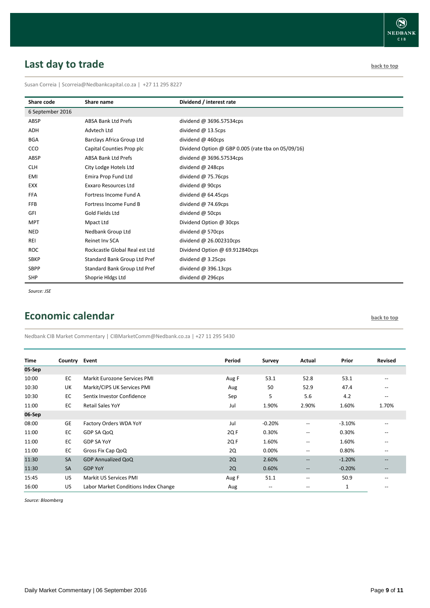# <span id="page-8-0"></span>**Last day to trade back to the contract of the contract of the contract of the contract of the contract of the contract of the contract of the contract of the contract of the contract of the contract of the contract of t**

Susan Correia | [Scorreia@Nedbankcapital.co.za](mailto:Scorreia@Nedbankcapital.co.za) | +27 11 295 8227

| Share code       | Share name                     | Dividend / interest rate                           |
|------------------|--------------------------------|----------------------------------------------------|
| 6 September 2016 |                                |                                                    |
| ABSP             | <b>ABSA Bank Ltd Prefs</b>     | dividend @ 3696.57534cps                           |
| ADH              | Advtech Ltd                    | dividend $@$ 13.5cps                               |
| <b>BGA</b>       | Barclays Africa Group Ltd      | dividend @ 460cps                                  |
| CCO              | Capital Counties Prop plc      | Dividend Option @ GBP 0.005 (rate tba on 05/09/16) |
| ABSP             | <b>ABSA Bank Ltd Prefs</b>     | dividend @ 3696.57534cps                           |
| <b>CLH</b>       | City Lodge Hotels Ltd          | dividend @ 248cps                                  |
| EMI              | Emira Prop Fund Ltd            | dividend $@$ 75.76cps                              |
| <b>EXX</b>       | <b>Exxaro Resources Ltd</b>    | dividend @ 90cps                                   |
| <b>FFA</b>       | Fortress Income Fund A         | dividend $@$ 64.45cps                              |
| <b>FFB</b>       | Fortress Income Fund B         | dividend $@$ 74.69cps                              |
| GFI              | Gold Fields Ltd                | dividend @ 50cps                                   |
| <b>MPT</b>       | Mpact Ltd                      | Dividend Option @ 30cps                            |
| <b>NED</b>       | Nedbank Group Ltd              | dividend @ 570cps                                  |
| <b>REI</b>       | Reinet Inv SCA                 | dividend @ 26.002310cps                            |
| <b>ROC</b>       | Rockcastle Global Real est Ltd | Dividend Option @ 69.912840cps                     |
| <b>SBKP</b>      | Standard Bank Group Ltd Pref   | dividend $@3.25$ cps                               |
| <b>SBPP</b>      | Standard Bank Group Ltd Pref   | dividend $@396.13cps$                              |
| <b>SHP</b>       | Shoprie Hldgs Ltd              | dividend @ 296cps                                  |

*Source: JSE*

### <span id="page-8-1"></span>**Economic calendar [back to top](#page-0-0) back to top**

Nedbank CIB Market Commentary | CIBMarketComm@Nedbank.co.za | +27 11 295 5430

| <b>Time</b> | Country Event |                                      | Period | Survey                   | Actual                   | Prior    | <b>Revised</b>           |
|-------------|---------------|--------------------------------------|--------|--------------------------|--------------------------|----------|--------------------------|
| 05-Sep      |               |                                      |        |                          |                          |          |                          |
| 10:00       | EC            | Markit Eurozone Services PMI         | Aug F  | 53.1                     | 52.8                     | 53.1     | $- -$                    |
| 10:30       | UK            | Markit/CIPS UK Services PMI          | Aug    | 50                       | 52.9                     | 47.4     | $- -$                    |
| 10:30       | EC            | Sentix Investor Confidence           | Sep    | 5                        | 5.6                      | 4.2      | $- -$                    |
| 11:00       | EC            | <b>Retail Sales YoY</b>              | Jul    | 1.90%                    | 2.90%                    | 1.60%    | 1.70%                    |
| 06-Sep      |               |                                      |        |                          |                          |          |                          |
| 08:00       | <b>GE</b>     | Factory Orders WDA YoY               | Jul    | $-0.20%$                 | $\sim$                   | $-3.10%$ | $\overline{\phantom{a}}$ |
| 11:00       | EC            | GDP SA QoQ                           | 2Q F   | 0.30%                    | $\hspace{0.05cm} -$      | 0.30%    | $- -$                    |
| 11:00       | EC            | <b>GDP SA YoY</b>                    | 2Q F   | 1.60%                    | $\overline{\phantom{a}}$ | 1.60%    | $- -$                    |
| 11:00       | EC            | Gross Fix Cap QoQ                    | 2Q     | 0.00%                    | $\hspace{0.05cm} -$      | 0.80%    | $\overline{\phantom{m}}$ |
| 11:30       | <b>SA</b>     | <b>GDP Annualized QoQ</b>            | 2Q     | 2.60%                    | $\qquad \qquad -$        | $-1.20%$ | $\qquad \qquad -$        |
| 11:30       | <b>SA</b>     | <b>GDP YoY</b>                       | 2Q     | 0.60%                    | $\hspace{0.05cm} \cdots$ | $-0.20%$ |                          |
| 15:45       | US            | Markit US Services PMI               | Aug F  | 51.1                     | $\overline{\phantom{m}}$ | 50.9     | --                       |
| 16:00       | US            | Labor Market Conditions Index Change | Aug    | $\overline{\phantom{m}}$ | --                       | 1        | $-$                      |

*Source: Bloomberg*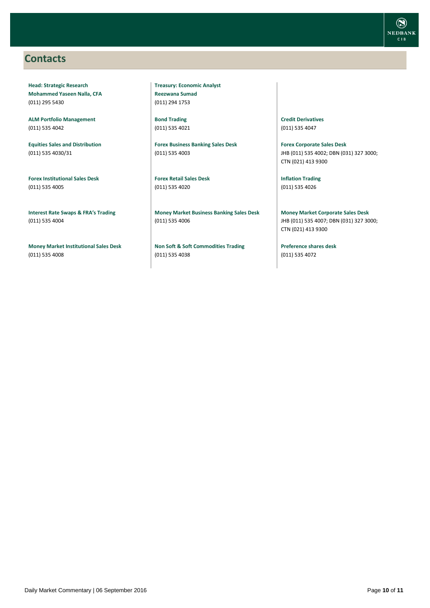### <span id="page-9-0"></span>**Contacts**

**Head: Strategic Research Mohammed Yaseen Nalla, CFA** (011) 295 5430

**ALM Portfolio Management** (011) 535 4042

**Equities Sales and Distribution** (011) 535 4030/31

**Forex Institutional Sales Desk** (011) 535 4005

**Interest Rate Swaps & FRA's Trading** (011) 535 4004

**Money Market Institutional Sales Desk** (011) 535 4008

**Treasury: Economic Analyst Reezwana Sumad** (011) 294 1753

**Bond Trading** (011) 535 4021

**Forex Business Banking Sales Desk** (011) 535 4003

**Forex Retail Sales Desk** (011) 535 4020

**Money Market Business Banking Sales Desk** (011) 535 4006

**Non Soft & Soft Commodities Trading** (011) 535 4038

**Credit Derivatives**  (011) 535 4047

**Forex Corporate Sales Desk** JHB (011) 535 4002; DBN (031) 327 3000; CTN (021) 413 9300

**Inflation Trading** (011) 535 4026

**Money Market Corporate Sales Desk** JHB (011) 535 4007; DBN (031) 327 3000; CTN (021) 413 9300

**Preference shares desk** (011) 535 4072